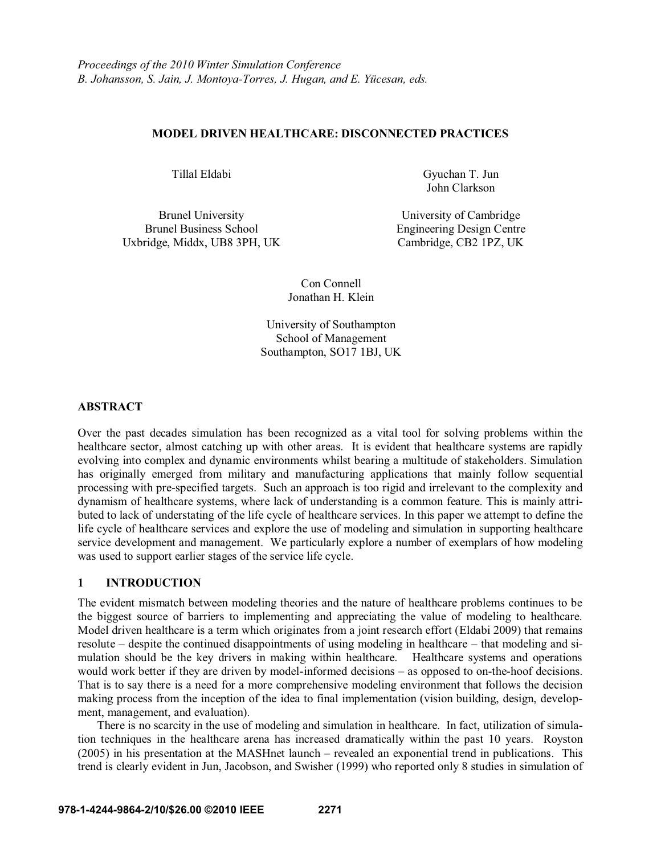### **MODEL DRIVEN HEALTHCARE: DISCONNECTED PRACTICES**

Brunel Business School Engineering Design Centre Uxbridge, Middx, UB8 3PH, UK Cambridge, CB2 1PZ, UK

Tillal Eldabi Gyuchan T. Jun John Clarkson

Brunel University University of Cambridge

Con Connell Jonathan H. Klein

University of Southampton School of Management Southampton, SO17 1BJ, UK

## **ABSTRACT**

Over the past decades simulation has been recognized as a vital tool for solving problems within the healthcare sector, almost catching up with other areas. It is evident that healthcare systems are rapidly evolving into complex and dynamic environments whilst bearing a multitude of stakeholders. Simulation has originally emerged from military and manufacturing applications that mainly follow sequential processing with pre-specified targets. Such an approach is too rigid and irrelevant to the complexity and dynamism of healthcare systems, where lack of understanding is a common feature. This is mainly attributed to lack of understating of the life cycle of healthcare services. In this paper we attempt to define the life cycle of healthcare services and explore the use of modeling and simulation in supporting healthcare service development and management. We particularly explore a number of exemplars of how modeling was used to support earlier stages of the service life cycle.

#### **1 INTRODUCTION**

The evident mismatch between modeling theories and the nature of healthcare problems continues to be the biggest source of barriers to implementing and appreciating the value of modeling to healthcare. Model driven healthcare is a term which originates from a joint research effort (Eldabi 2009) that remains resolute – despite the continued disappointments of using modeling in healthcare – that modeling and simulation should be the key drivers in making within healthcare. Healthcare systems and operations would work better if they are driven by model-informed decisions – as opposed to on-the-hoof decisions. That is to say there is a need for a more comprehensive modeling environment that follows the decision making process from the inception of the idea to final implementation (vision building, design, development, management, and evaluation).

There is no scarcity in the use of modeling and simulation in healthcare. In fact, utilization of simulation techniques in the healthcare arena has increased dramatically within the past 10 years. Royston (2005) in his presentation at the MASHnet launch – revealed an exponential trend in publications. This trend is clearly evident in Jun, Jacobson, and Swisher (1999) who reported only 8 studies in simulation of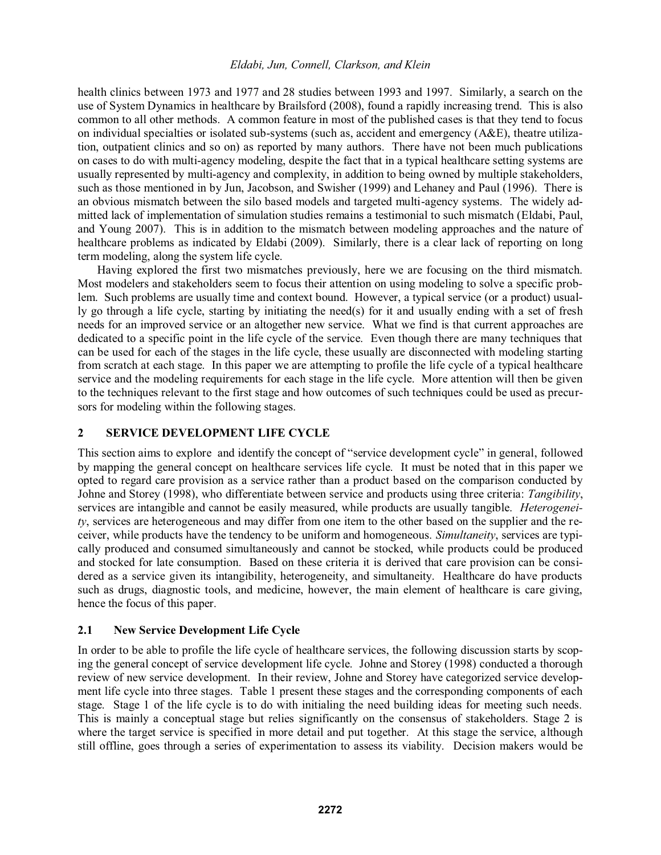health clinics between 1973 and 1977 and 28 studies between 1993 and 1997. Similarly, a search on the use of System Dynamics in healthcare by Brailsford (2008), found a rapidly increasing trend. This is also common to all other methods. A common feature in most of the published cases is that they tend to focus on individual specialties or isolated sub-systems (such as, accident and emergency (A&E), theatre utilization, outpatient clinics and so on) as reported by many authors. There have not been much publications on cases to do with multi-agency modeling, despite the fact that in a typical healthcare setting systems are usually represented by multi-agency and complexity, in addition to being owned by multiple stakeholders, such as those mentioned in by Jun, Jacobson, and Swisher (1999) and Lehaney and Paul (1996). There is an obvious mismatch between the silo based models and targeted multi-agency systems. The widely admitted lack of implementation of simulation studies remains a testimonial to such mismatch (Eldabi, Paul, and Young 2007). This is in addition to the mismatch between modeling approaches and the nature of healthcare problems as indicated by Eldabi (2009). Similarly, there is a clear lack of reporting on long term modeling, along the system life cycle.

Having explored the first two mismatches previously, here we are focusing on the third mismatch. Most modelers and stakeholders seem to focus their attention on using modeling to solve a specific problem. Such problems are usually time and context bound. However, a typical service (or a product) usually go through a life cycle, starting by initiating the need(s) for it and usually ending with a set of fresh needs for an improved service or an altogether new service. What we find is that current approaches are dedicated to a specific point in the life cycle of the service. Even though there are many techniques that can be used for each of the stages in the life cycle, these usually are disconnected with modeling starting from scratch at each stage. In this paper we are attempting to profile the life cycle of a typical healthcare service and the modeling requirements for each stage in the life cycle. More attention will then be given to the techniques relevant to the first stage and how outcomes of such techniques could be used as precursors for modeling within the following stages.

## **2 SERVICE DEVELOPMENT LIFE CYCLE**

This section aims to explore and identify the concept of "service development cycle" in general, followed by mapping the general concept on healthcare services life cycle. It must be noted that in this paper we opted to regard care provision as a service rather than a product based on the comparison conducted by Johne and Storey (1998), who differentiate between service and products using three criteria: *Tangibility*, services are intangible and cannot be easily measured, while products are usually tangible. *Heterogeneity*, services are heterogeneous and may differ from one item to the other based on the supplier and the receiver, while products have the tendency to be uniform and homogeneous. *Simultaneity*, services are typically produced and consumed simultaneously and cannot be stocked, while products could be produced and stocked for late consumption. Based on these criteria it is derived that care provision can be considered as a service given its intangibility, heterogeneity, and simultaneity. Healthcare do have products such as drugs, diagnostic tools, and medicine, however, the main element of healthcare is care giving, hence the focus of this paper.

#### **2.1 New Service Development Life Cycle**

In order to be able to profile the life cycle of healthcare services, the following discussion starts by scoping the general concept of service development life cycle. Johne and Storey (1998) conducted a thorough review of new service development. In their review, Johne and Storey have categorized service development life cycle into three stages. Table 1 present these stages and the corresponding components of each stage. Stage 1 of the life cycle is to do with initialing the need building ideas for meeting such needs. This is mainly a conceptual stage but relies significantly on the consensus of stakeholders. Stage 2 is where the target service is specified in more detail and put together. At this stage the service, although still offline, goes through a series of experimentation to assess its viability. Decision makers would be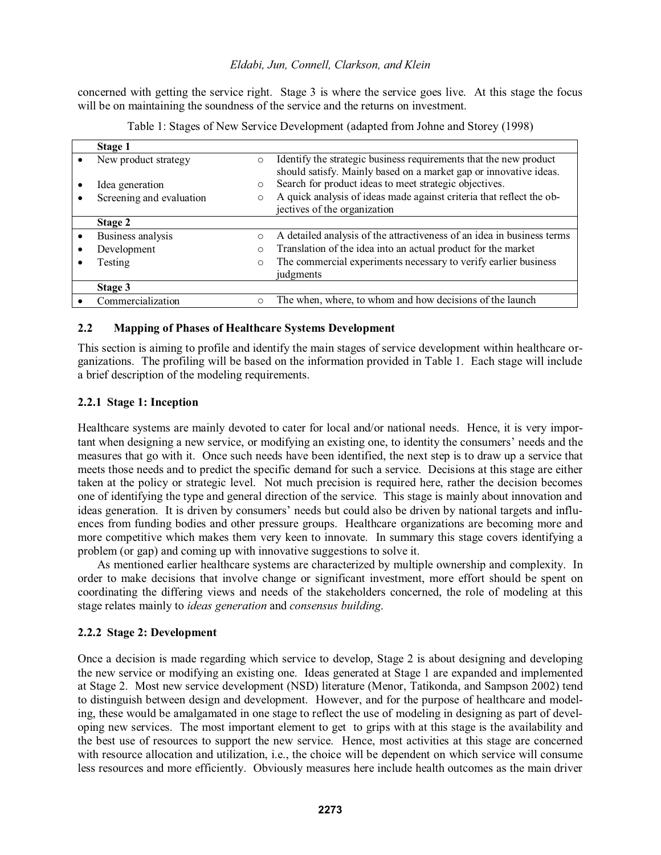concerned with getting the service right. Stage 3 is where the service goes live. At this stage the focus will be on maintaining the soundness of the service and the returns on investment.

| Stage 1                  |          |                                                                        |
|--------------------------|----------|------------------------------------------------------------------------|
| New product strategy     | $\circ$  | Identify the strategic business requirements that the new product      |
|                          |          | should satisfy. Mainly based on a market gap or innovative ideas.      |
| Idea generation          | $\circ$  | Search for product ideas to meet strategic objectives.                 |
| Screening and evaluation | $\Omega$ | A quick analysis of ideas made against criteria that reflect the ob-   |
|                          |          | jectives of the organization                                           |
| Stage 2                  |          |                                                                        |
| Business analysis        | $\circ$  | A detailed analysis of the attractiveness of an idea in business terms |
| Development              | $\circ$  | Translation of the idea into an actual product for the market          |
| Testing                  | $\Omega$ | The commercial experiments necessary to verify earlier business        |
|                          |          | judgments                                                              |
| Stage 3                  |          |                                                                        |
| Commercialization        | O        | The when, where, to whom and how decisions of the launch               |

Table 1: Stages of New Service Development (adapted from Johne and Storey (1998)

## **2.2 Mapping of Phases of Healthcare Systems Development**

This section is aiming to profile and identify the main stages of service development within healthcare organizations. The profiling will be based on the information provided in Table 1. Each stage will include a brief description of the modeling requirements.

## **2.2.1 Stage 1: Inception**

Healthcare systems are mainly devoted to cater for local and/or national needs. Hence, it is very important when designing a new service, or modifying an existing one, to identity the consumers' needs and the measures that go with it. Once such needs have been identified, the next step is to draw up a service that meets those needs and to predict the specific demand for such a service. Decisions at this stage are either taken at the policy or strategic level. Not much precision is required here, rather the decision becomes one of identifying the type and general direction of the service. This stage is mainly about innovation and ideas generation. It is driven by consumers' needs but could also be driven by national targets and influences from funding bodies and other pressure groups. Healthcare organizations are becoming more and more competitive which makes them very keen to innovate. In summary this stage covers identifying a problem (or gap) and coming up with innovative suggestions to solve it.

As mentioned earlier healthcare systems are characterized by multiple ownership and complexity. In order to make decisions that involve change or significant investment, more effort should be spent on coordinating the differing views and needs of the stakeholders concerned, the role of modeling at this stage relates mainly to *ideas generation* and *consensus building*.

## **2.2.2 Stage 2: Development**

Once a decision is made regarding which service to develop, Stage 2 is about designing and developing the new service or modifying an existing one. Ideas generated at Stage 1 are expanded and implemented at Stage 2. Most new service development (NSD) literature (Menor, Tatikonda, and Sampson 2002) tend to distinguish between design and development. However, and for the purpose of healthcare and modeling, these would be amalgamated in one stage to reflect the use of modeling in designing as part of developing new services. The most important element to get to grips with at this stage is the availability and the best use of resources to support the new service. Hence, most activities at this stage are concerned with resource allocation and utilization, i.e., the choice will be dependent on which service will consume less resources and more efficiently. Obviously measures here include health outcomes as the main driver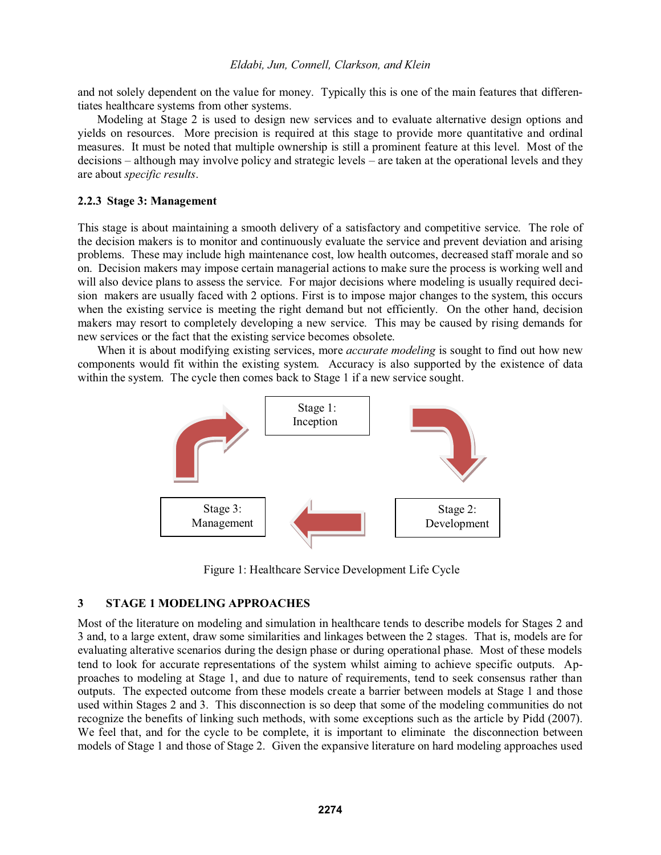and not solely dependent on the value for money. Typically this is one of the main features that differentiates healthcare systems from other systems.

Modeling at Stage 2 is used to design new services and to evaluate alternative design options and yields on resources. More precision is required at this stage to provide more quantitative and ordinal measures. It must be noted that multiple ownership is still a prominent feature at this level. Most of the decisions - although may involve policy and strategic levels - are taken at the operational levels and they are about *specific results*.

#### **2.2.3 Stage 3: Management**

This stage is about maintaining a smooth delivery of a satisfactory and competitive service. The role of the decision makers is to monitor and continuously evaluate the service and prevent deviation and arising problems. These may include high maintenance cost, low health outcomes, decreased staff morale and so on. Decision makers may impose certain managerial actions to make sure the process is working well and will also device plans to assess the service. For major decisions where modeling is usually required decision makers are usually faced with 2 options. First is to impose major changes to the system, this occurs when the existing service is meeting the right demand but not efficiently. On the other hand, decision makers may resort to completely developing a new service. This may be caused by rising demands for new services or the fact that the existing service becomes obsolete.

When it is about modifying existing services, more *accurate modeling* is sought to find out how new components would fit within the existing system. Accuracy is also supported by the existence of data within the system. The cycle then comes back to Stage 1 if a new service sought.



Figure 1: Healthcare Service Development Life Cycle

## **3 STAGE 1 MODELING APPROACHES**

Most of the literature on modeling and simulation in healthcare tends to describe models for Stages 2 and 3 and, to a large extent, draw some similarities and linkages between the 2 stages. That is, models are for evaluating alterative scenarios during the design phase or during operational phase. Most of these models tend to look for accurate representations of the system whilst aiming to achieve specific outputs. Approaches to modeling at Stage 1, and due to nature of requirements, tend to seek consensus rather than outputs. The expected outcome from these models create a barrier between models at Stage 1 and those used within Stages 2 and 3. This disconnection is so deep that some of the modeling communities do not recognize the benefits of linking such methods, with some exceptions such as the article by Pidd (2007). We feel that, and for the cycle to be complete, it is important to eliminate the disconnection between models of Stage 1 and those of Stage 2. Given the expansive literature on hard modeling approaches used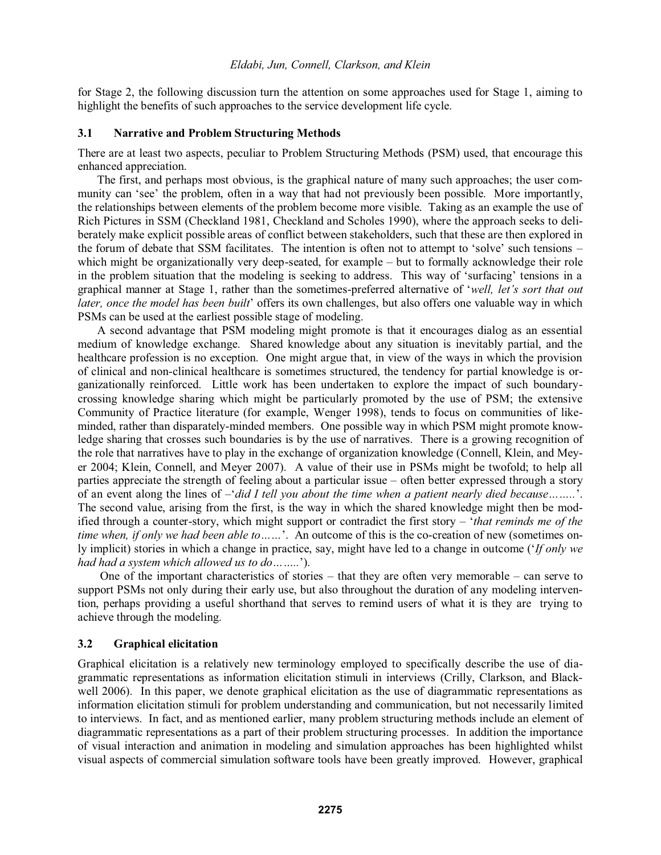for Stage 2, the following discussion turn the attention on some approaches used for Stage 1, aiming to highlight the benefits of such approaches to the service development life cycle.

## **3.1 Narrative and Problem Structuring Methods**

There are at least two aspects, peculiar to Problem Structuring Methods (PSM) used, that encourage this enhanced appreciation.

The first, and perhaps most obvious, is the graphical nature of many such approaches; the user com munity can 'see' the problem, often in a way that had not previously been possible. More importantly, the relationships between elements of the problem become more visible. Taking as an example the use of Rich Pictures in SSM (Checkland 1981, Checkland and Scholes 1990), where the approach seeks to deliberately make explicit possible areas of conflict between stakeholders, such that these are then explored in the forum of debate that SSM facilitates. The intention is often not to attempt to 'solve' such tensions which might be organizationally very deep-seated, for example – but to formally acknowledge their role in the problem situation that the modeling is seeking to address. This way of 'surfacing' tensions in a graphical manner at Stage 1, rather than the sometimes-preferred alternative of 'well, let's sort that out *later, once the model has been built'* offers its own challenges, but also offers one valuable way in which PSMs can be used at the earliest possible stage of modeling.

A second advantage that PSM modeling might promote is that it encourages dialog as an essential medium of knowledge exchange. Shared knowledge about any situation is inevitably partial, and the healthcare profession is no exception. One might argue that, in view of the ways in which the provision of clinical and non-clinical healthcare is sometimes structured, the tendency for partial knowledge is organizationally reinforced. Little work has been undertaken to explore the impact of such boundarycrossing knowledge sharing which might be particularly promoted by the use of PSM; the extensive Community of Practice literature (for example, Wenger 1998), tends to focus on communities of likeminded, rather than disparately-minded members. One possible way in which PSM might promote knowledge sharing that crosses such boundaries is by the use of narratives. There is a growing recognition of the role that narratives have to play in the exchange of organization knowledge (Connell, Klein, and Meyer 2004; Klein, Connell, and Meyer 2007). A value of their use in PSMs might be twofold; to help all parties appreciate the strength of feeling about a particular issue – often better expressed through a story of an event along the lines of  $-i$  did I tell you about the time when a patient nearly died because........<sup>3</sup>. The second value, arising from the first, is the way in which the shared knowledge might then be modified through a counter-story, which might support or contradict the first story - *that reminds me of the*  time when, if only we had been able to ......". An outcome of this is the co-creation of new (sometimes only implicit) stories in which a change in practice, say, might have led to a change in outcome *('If only we had had a system which allowed us to do........').* 

One of the important characteristics of stories  $-$  that they are often very memorable  $-$  can serve to support PSMs not only during their early use, but also throughout the duration of any modeling intervention, perhaps providing a useful shorthand that serves to remind users of what it is they are trying to achieve through the modeling.

#### **3.2 Graphical elicitation**

Graphical elicitation is a relatively new terminology employed to specifically describe the use of diagrammatic representations as information elicitation stimuli in interviews (Crilly, Clarkson, and Blackwell 2006). In this paper, we denote graphical elicitation as the use of diagrammatic representations as information elicitation stimuli for problem understanding and communication, but not necessarily limited to interviews. In fact, and as mentioned earlier, many problem structuring methods include an element of diagrammatic representations as a part of their problem structuring processes. In addition the importance of visual interaction and animation in modeling and simulation approaches has been highlighted whilst visual aspects of commercial simulation software tools have been greatly improved. However, graphical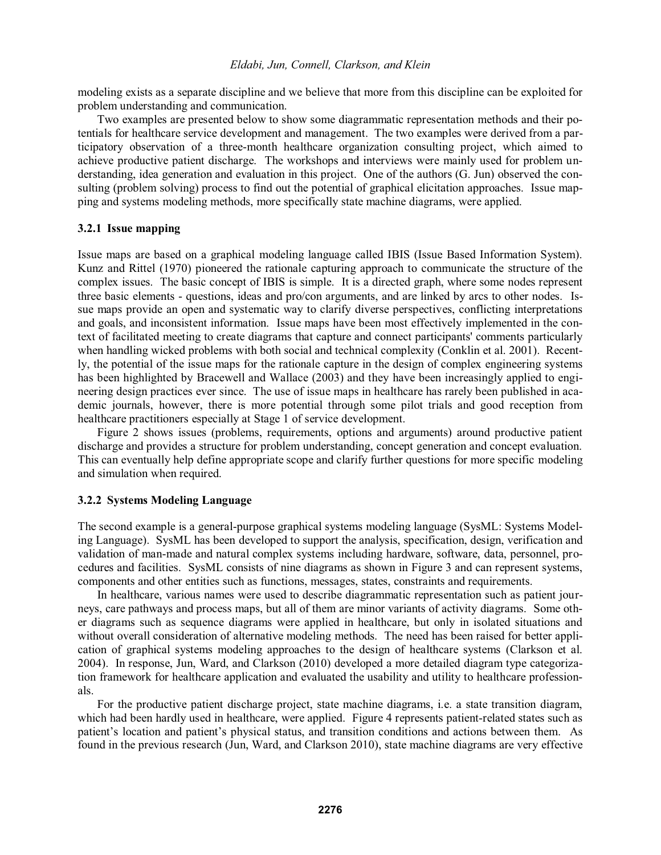modeling exists as a separate discipline and we believe that more from this discipline can be exploited for problem understanding and communication.

Two examples are presented below to show some diagrammatic representation methods and their potentials for healthcare service development and management. The two examples were derived from a participatory observation of a three-month healthcare organization consulting project, which aimed to achieve productive patient discharge. The workshops and interviews were mainly used for problem understanding, idea generation and evaluation in this project. One of the authors (G. Jun) observed the consulting (problem solving) process to find out the potential of graphical elicitation approaches. Issue mapping and systems modeling methods, more specifically state machine diagrams, were applied.

#### **3.2.1 Issue mapping**

Issue maps are based on a graphical modeling language called IBIS (Issue Based Information System). Kunz and Rittel (1970) pioneered the rationale capturing approach to communicate the structure of the complex issues. The basic concept of IBIS is simple. It is a directed graph, where some nodes represent three basic elements - questions, ideas and pro/con arguments, and are linked by arcs to other nodes. Issue maps provide an open and systematic way to clarify diverse perspectives, conflicting interpretations and goals, and inconsistent information. Issue maps have been most effectively implemented in the context of facilitated meeting to create diagrams that capture and connect participants' comments particularly when handling wicked problems with both social and technical complexity (Conklin et al. 2001). Recently, the potential of the issue maps for the rationale capture in the design of complex engineering systems has been highlighted by Bracewell and Wallace (2003) and they have been increasingly applied to engineering design practices ever since. The use of issue maps in healthcare has rarely been published in academic journals, however, there is more potential through some pilot trials and good reception from healthcare practitioners especially at Stage 1 of service development.

Figure 2 shows issues (problems, requirements, options and arguments) around productive patient discharge and provides a structure for problem understanding, concept generation and concept evaluation. This can eventually help define appropriate scope and clarify further questions for more specific modeling and simulation when required.

#### **3.2.2 Systems Modeling Language**

The second example is a general-purpose graphical systems modeling language (SysML: Systems Modeling Language). SysML has been developed to support the analysis, specification, design, verification and validation of man-made and natural complex systems including hardware, software, data, personnel, procedures and facilities. SysML consists of nine diagrams as shown in Figure 3 and can represent systems, components and other entities such as functions, messages, states, constraints and requirements.

In healthcare, various names were used to describe diagrammatic representation such as patient journeys, care pathways and process maps, but all of them are minor variants of activity diagrams. Some other diagrams such as sequence diagrams were applied in healthcare, but only in isolated situations and without overall consideration of alternative modeling methods. The need has been raised for better application of graphical systems modeling approaches to the design of healthcare systems (Clarkson et al. 2004). In response, Jun, Ward, and Clarkson (2010) developed a more detailed diagram type categorization framework for healthcare application and evaluated the usability and utility to healthcare professionals.

For the productive patient discharge project, state machine diagrams, i.e. a state transition diagram, which had been hardly used in healthcare, were applied. Figure 4 represents patient-related states such as patient's location and patient's physical status, and transition conditions and actions between them. As found in the previous research (Jun, Ward, and Clarkson 2010), state machine diagrams are very effective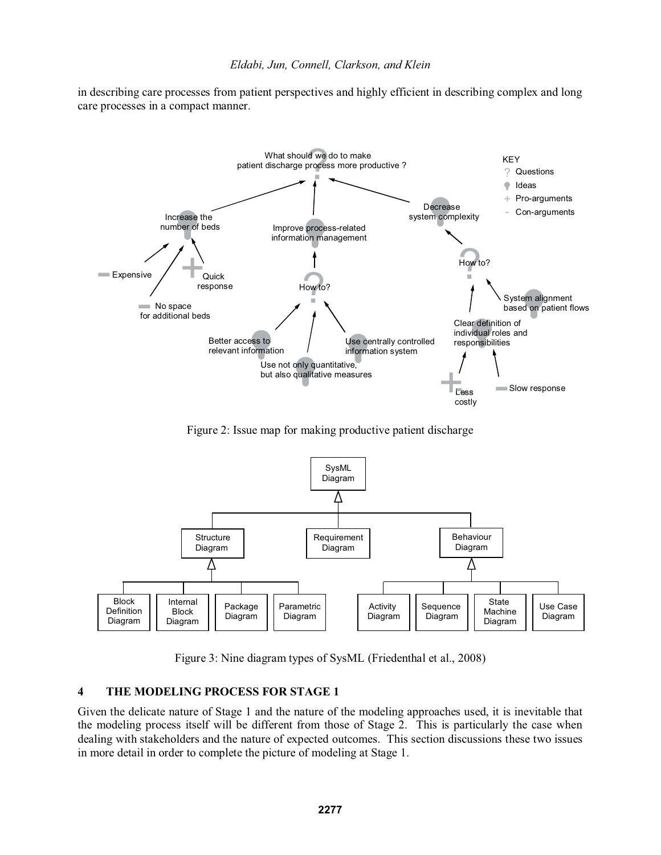in describing care processes from patient perspectives and highly efficient in describing complex and long care processes in a compact manner.



Figure 2: Issue map for making productive patient discharge



Figure 3: Nine diagram types of SysML (Friedenthal et al., 2008)

# **4 THE MODELING PROCESS FOR STAGE 1**

Given the delicate nature of Stage 1 and the nature of the modeling approaches used, it is inevitable that the modeling process itself will be different from those of Stage 2. This is particularly the case when dealing with stakeholders and the nature of expected outcomes. This section discussions these two issues in more detail in order to complete the picture of modeling at Stage 1.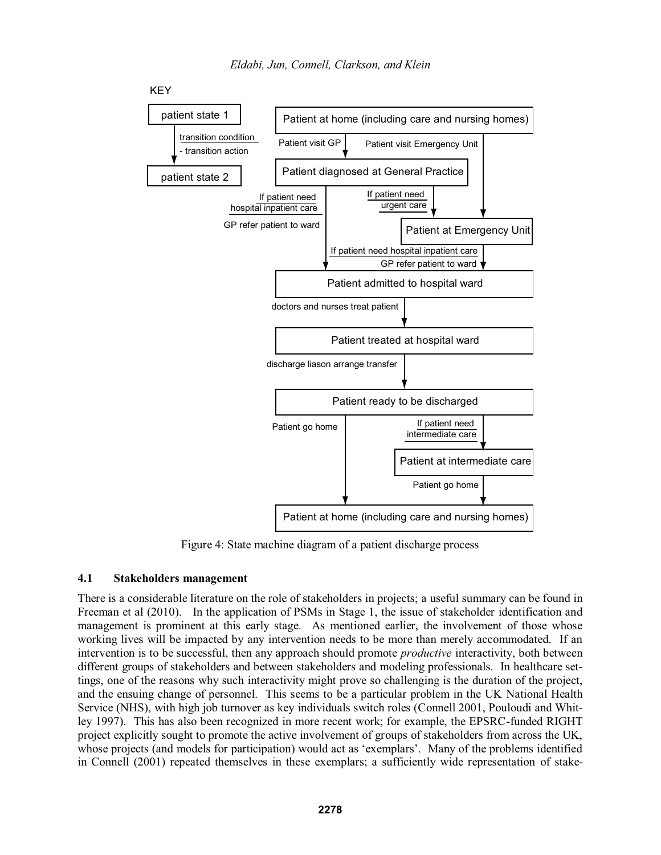

Figure 4: State machine diagram of a patient discharge process

# **4.1 Stakeholders management**

There is a considerable literature on the role of stakeholders in projects; a useful summary can be found in Freeman et al (2010). In the application of PSMs in Stage 1, the issue of stakeholder identification and management is prominent at this early stage. As mentioned earlier, the involvement of those whose working lives will be impacted by any intervention needs to be more than merely accommodated. If an intervention is to be successful, then any approach should promote *productive* interactivity, both between different groups of stakeholders and between stakeholders and modeling professionals. In healthcare settings, one of the reasons why such interactivity might prove so challenging is the duration of the project, and the ensuing change of personnel. This seems to be a particular problem in the UK National Health Service (NHS), with high job turnover as key individuals switch roles (Connell 2001, Pouloudi and Whitley 1997). This has also been recognized in more recent work; for example, the EPSRC-funded RIGHT project explicitly sought to promote the active involvement of groups of stakeholders from across the UK, whose projects (and models for participation) would act as 'exemplars'. Many of the problems identified in Connell (2001) repeated themselves in these exemplars; a sufficiently wide representation of stake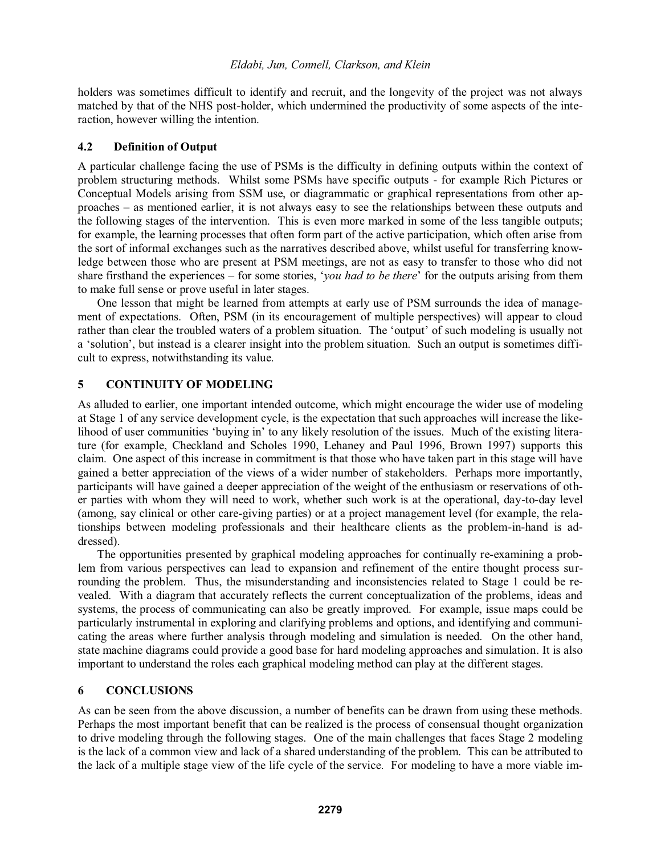holders was sometimes difficult to identify and recruit, and the longevity of the project was not always matched by that of the NHS post-holder, which undermined the productivity of some aspects of the interaction, however willing the intention.

## **4.2 Definition of Output**

A particular challenge facing the use of PSMs is the difficulty in defining outputs within the context of problem structuring methods. Whilst some PSMs have specific outputs - for example Rich Pictures or Conceptual Models arising from SSM use, or diagrammatic or graphical representations from other approaches - as mentioned earlier, it is not always easy to see the relationships between these outputs and the following stages of the intervention. This is even more marked in some of the less tangible outputs; for example, the learning processes that often form part of the active participation, which often arise from the sort of informal exchanges such as the narratives described above, whilst useful for transferring knowledge between those who are present at PSM meetings, are not as easy to transfer to those who did not share firsthand the experiences – for some stories, 'you had to be there' for the outputs arising from them to make full sense or prove useful in later stages.

One lesson that might be learned from attempts at early use of PSM surrounds the idea of management of expectations. Often, PSM (in its encouragement of multiple perspectives) will appear to cloud rather than clear the troubled waters of a problem situation. The 'output' of such modeling is usually not a 'solution', but instead is a clearer insight into the problem situation. Such an output is sometimes difficult to express, notwithstanding its value.

# **5 CONTINUITY OF MODELING**

As alluded to earlier, one important intended outcome, which might encourage the wider use of modeling at Stage 1 of any service development cycle, is the expectation that such approaches will increase the like lihood of user communities 'buying in' to any likely resolution of the issues. Much of the existing literature (for example, Checkland and Scholes 1990, Lehaney and Paul 1996, Brown 1997) supports this claim. One aspect of this increase in commitment is that those who have taken part in this stage will have gained a better appreciation of the views of a wider number of stakeholders. Perhaps more importantly, participants will have gained a deeper appreciation of the weight of the enthusiasm or reservations of other parties with whom they will need to work, whether such work is at the operational, day-to-day level (among, say clinical or other care-giving parties) or at a project management level (for example, the relationships between modeling professionals and their healthcare clients as the problem-in-hand is addressed).

The opportunities presented by graphical modeling approaches for continually re-examining a problem from various perspectives can lead to expansion and refinement of the entire thought process surrounding the problem. Thus, the misunderstanding and inconsistencies related to Stage 1 could be revealed. With a diagram that accurately reflects the current conceptualization of the problems, ideas and systems, the process of communicating can also be greatly improved. For example, issue maps could be particularly instrumental in exploring and clarifying problems and options, and identifying and communicating the areas where further analysis through modeling and simulation is needed. On the other hand, state machine diagrams could provide a good base for hard modeling approaches and simulation. It is also important to understand the roles each graphical modeling method can play at the different stages.

## **6 CONCLUSIONS**

As can be seen from the above discussion, a number of benefits can be drawn from using these methods. Perhaps the most important benefit that can be realized is the process of consensual thought organization to drive modeling through the following stages. One of the main challenges that faces Stage 2 modeling is the lack of a common view and lack of a shared understanding of the problem. This can be attributed to the lack of a multiple stage view of the life cycle of the service. For modeling to have a more viable im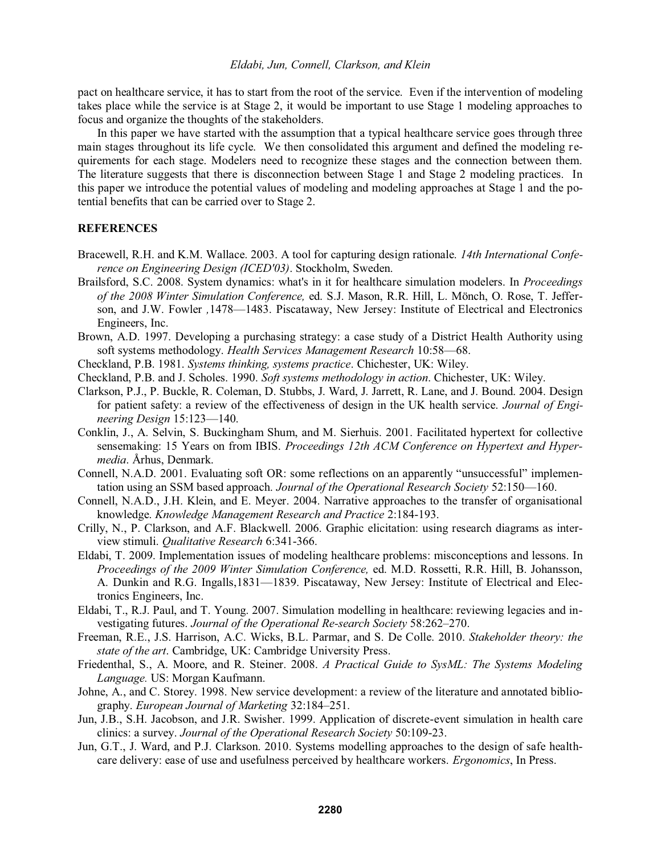pact on healthcare service, it has to start from the root of the service. Even if the intervention of modeling takes place while the service is at Stage 2, it would be important to use Stage 1 modeling approaches to focus and organize the thoughts of the stakeholders.

In this paper we have started with the assumption that a typical healthcare service goes through three main stages throughout its life cycle. We then consolidated this argument and defined the modeling requirements for each stage. Modelers need to recognize these stages and the connection between them. The literature suggests that there is disconnection between Stage 1 and Stage 2 modeling practices. In this paper we introduce the potential values of modeling and modeling approaches at Stage 1 and the potential benefits that can be carried over to Stage 2.

#### **REFERENCES**

- Bracewell, R.H. and K.M. Wallace. 2003. A tool for capturing design rationale. *14th International Conference on Engineering Design (ICED'03)*. Stockholm, Sweden.
- Brailsford, S.C. 2008. System dynamics: what's in it for healthcare simulation modelers. In *Proceedings of the 2008 Winter Simulation Conference,* ed. S.J. Mason, R.R. Hill, L. Mönch, O. Rose, T. Jefferson, and J.W. Fowler , 1478—1483. Piscataway, New Jersey: Institute of Electrical and Electronics Engineers, Inc.
- Brown, A.D. 1997. Developing a purchasing strategy: a case study of a District Health Authority using soft systems methodology. *Health Services Management Research* 10:58-68.
- Checkland, P.B. 1981. *Systems thinking, systems practice*. Chichester, UK: Wiley.
- Checkland, P.B. and J. Scholes. 1990. *Soft systems methodology in action*. Chichester, UK: Wiley.
- Clarkson, P.J., P. Buckle, R. Coleman, D. Stubbs, J. Ward, J. Jarrett, R. Lane, and J. Bound. 2004. Design for patient safety: a review of the effectiveness of design in the UK health service. *Journal of Engineering Design* 15:123-140.
- Conklin, J., A. Selvin, S. Buckingham Shum, and M. Sierhuis. 2001. Facilitated hypertext for collective sensemaking: 15 Years on from IBIS. *Proceedings 12th ACM Conference on Hypertext and Hypermedia*. Århus, Denmark.
- Connell, N.A.D. 2001. Evaluating soft OR: some reflections on an apparently "unsuccessful" implementation using an SSM based approach. *Journal of the Operational Research Society* 52:150-160.
- Connell, N.A.D., J.H. Klein, and E. Meyer. 2004. Narrative approaches to the transfer of organisational knowledge. *Knowledge Management Research and Practice* 2:184-193.
- Crilly, N., P. Clarkson, and A.F. Blackwell. 2006. Graphic elicitation: using research diagrams as interview stimuli. *Qualitative Research* 6:341-366.
- Eldabi, T. 2009. Implementation issues of modeling healthcare problems: misconceptions and lessons. In *Proceedings of the 2009 Winter Simulation Conference,* ed. M.D. Rossetti, R.R. Hill, B. Johansson, A. Dunkin and R.G. Ingalls,1831—1839. Piscataway, New Jersey: Institute of Electrical and Electronics Engineers, Inc.
- Eldabi, T., R.J. Paul, and T. Young. 2007. Simulation modelling in healthcare: reviewing legacies and investigating futures. *Journal of the Operational Re-search Society* 58:262-270.
- Freeman, R.E., J.S. Harrison, A.C. Wicks, B.L. Parmar, and S. De Colle. 2010. *Stakeholder theory: the state of the art*. Cambridge, UK: Cambridge University Press.
- Friedenthal, S., A. Moore, and R. Steiner. 2008. *A Practical Guide to SysML: The Systems Modeling Language.* US: Morgan Kaufmann.
- Johne, A., and C. Storey. 1998. New service development: a review of the literature and annotated bibliography. *European Journal of Marketing* 32:184-251.
- Jun, J.B., S.H. Jacobson, and J.R. Swisher. 1999. Application of discrete-event simulation in health care clinics: a survey. *Journal of the Operational Research Society* 50:109-23.
- Jun, G.T., J. Ward, and P.J. Clarkson. 2010. Systems modelling approaches to the design of safe healthcare delivery: ease of use and usefulness perceived by healthcare workers. *Ergonomics*, In Press.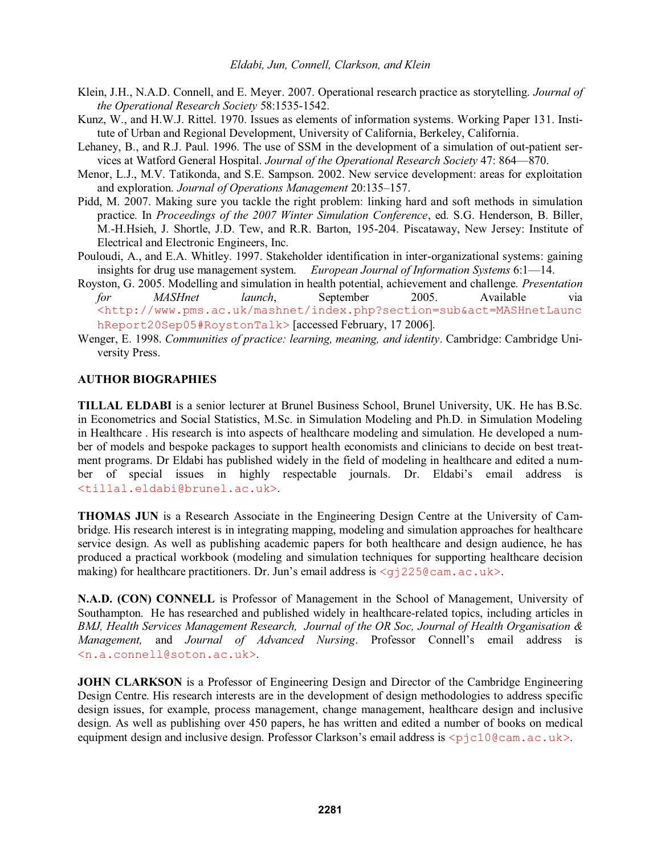- Klein, J.H., N.A.D. Connell, and E. Meyer. 2007. Operational research practice as storytelling. *Journal of the Operational Research Society* 58:1535-1542.
- Kunz, W., and H.W.J. Rittel. 1970. Issues as elements of information systems. Working Paper 131. Institute of Urban and Regional Development, University of California, Berkeley, California.
- Lehaney, B., and R.J. Paul. 1996. The use of SSM in the development of a simulation of out-patient services at Watford General Hospital. Journal of the Operational Research Society 47: 864-870.
- Menor, L.J., M.V. Tatikonda, and S.E. Sampson. 2002. New service development: areas for exploitation and exploration. *Journal of Operations Management* 20:135-157.
- Pidd, M. 2007. Making sure you tackle the right problem: linking hard and soft methods in simulation practice. In *Proceedings of the 2007 Winter Simulation Conference*, ed. S.G. Henderson, B. Biller, M.-H.Hsieh, J. Shortle, J.D. Tew, and R.R. Barton, 195-204. Piscataway, New Jersey: Institute of Electrical and Electronic Engineers, Inc.
- Pouloudi, A., and E.A. Whitley. 1997. Stakeholder identification in inter-organizational systems: gaining insights for drug use management system. *European Journal of Information Systems* 6:1—14.
- Royston, G. 2005. Modelling and simulation in health potential, achievement and challenge. *Presentation for MASHnet launch*, September 2005. Available via <http://www.pms.ac.uk/mashnet/index.php?section=sub&act=MASHnetLaunc hReport20Sep05#RoystonTalk> [accessed February, 17 2006].
- Wenger, E. 1998. *Communities of practice: learning, meaning, and identity*. Cambridge: Cambridge University Press.

## **AUTHOR BIOGRAPHIES**

**TILLAL ELDABI** is a senior lecturer at Brunel Business School, Brunel University, UK. He has B.Sc. in Econometrics and Social Statistics, M.Sc. in Simulation Modeling and Ph.D. in Simulation Modeling in Healthcare . His research is into aspects of healthcare modeling and simulation. He developed a number of models and bespoke packages to support health economists and clinicians to decide on best treatment programs. Dr Eldabi has published widely in the field of modeling in healthcare and edited a num ber of special issues in highly respectable journals. Dr. Eldabi's email address is <tillal.eldabi@brunel.ac.uk>.

**THOMAS JUN** is a Research Associate in the Engineering Design Centre at the University of Cambridge. His research interest is in integrating mapping, modeling and simulation approaches for healthcare service design. As well as publishing academic papers for both healthcare and design audience, he has produced a practical workbook (modeling and simulation techniques for supporting healthcare decision making) for healthcare practitioners. Dr. Jun's email address is  $\leq$ gj225@cam.ac.uk>.

**N.A.D. (CON) CONNELL** is Professor of Management in the School of Management, University of Southampton. He has researched and published widely in healthcare-related topics, including articles in *BMJ, Health Services Management Research, Journal of the OR Soc, Journal of Health Organisation &*  Management, and *Journal of Advanced Nursing*. Professor Connell's email address is <n.a.connell@soton.ac.uk>.

**JOHN CLARKSON** is a Professor of Engineering Design and Director of the Cambridge Engineering Design Centre. His research interests are in the development of design methodologies to address specific design issues, for example, process management, change management, healthcare design and inclusive design. As well as publishing over 450 papers, he has written and edited a number of books on medical equipment design and inclusive design. Professor Clarkson's email address is  $\leq$ pjc10@cam.ac.uk>.